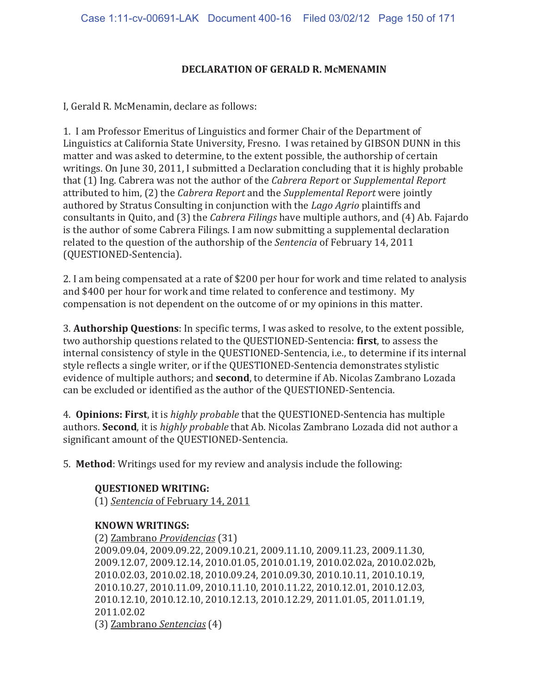## **DECLARATION OF GERALD R. McMENAMIN**

I, Gerald R. McMenamin, declare as follows:

1. I am Professor Emeritus of Linguistics and former Chair of the Department of Linguistics at California State University, Fresno. I was retained by GIBSON DUNN in this matter and was asked to determine, to the extent possible, the authorship of certain writings. On June 30, 2011, I submitted a Declaration concluding that it is highly probable that (1) Ing. Cabrera was not the author of the *Cabrera Report* or Supplemental Report attributed to him, (2) the Cabrera Report and the Supplemental Report were jointly authored by Stratus Consulting in conjunction with the Lago Agrio plaintiffs and consultants in Quito, and (3) the *Cabrera Filings* have multiple authors, and (4) Ab. Fajardo is the author of some Cabrera Filings. I am now submitting a supplemental declaration related to the question of the authorship of the Sentencia of February 14, 2011 (QUESTIONED-Sentencia).

2. I am being compensated at a rate of \$200 per hour for work and time related to analysis and \$400 per hour for work and time related to conference and testimony. My compensation is not dependent on the outcome of or my opinions in this matter.

3. Authorship Questions: In specific terms, I was asked to resolve, to the extent possible, two authorship questions related to the QUESTIONED-Sentencia: first, to assess the internal consistency of style in the QUESTIONED-Sentencia, i.e., to determine if its internal style reflects a single writer, or if the QUESTIONED-Sentencia demonstrates stylistic evidence of multiple authors; and **second**, to determine if Ab. Nicolas Zambrano Lozada can be excluded or identified as the author of the QUESTIONED-Sentencia.

4. **Opinions: First**, it is *highly probable* that the QUESTIONED-Sentencia has multiple authors. Second, it is *highly probable* that Ab. Nicolas Zambrano Lozada did not author a significant amount of the QUESTIONED-Sentencia.

5. Method: Writings used for my review and analysis include the following:

 **QUESTIONED WRITING:**  (1) Sentencia of February 14, 2011

## **KNOWN WRITINGS:**

(2) Zambrano Providencias (31) 2009.09.04, 2009.09.22, 2009.10.21, 2009.11.10, 2009.11.23, 2009.11.30, 2009.12.07, 2009.12.14, 2010.01.05, 2010.01.19, 2010.02.02a, 2010.02.02b, 2010.02.03, 2010.02.18, 2010.09.24, 2010.09.30, 2010.10.11, 2010.10.19, 2010.10.27, 2010.11.09, 2010.11.10, 2010.11.22, 2010.12.01, 2010.12.03, 2010.12.10, 2010.12.10, 2010.12.13, 2010.12.29, 2011.01.05, 2011.01.19, 2011.02.02 (3) Zambrano Sentencias (4)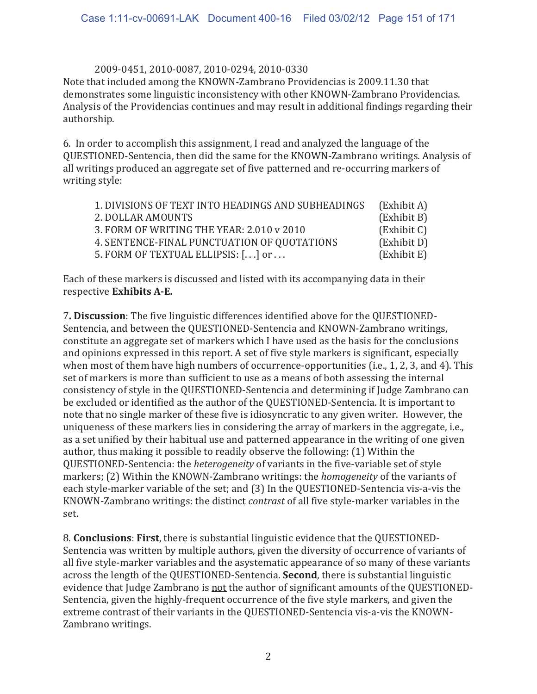## 2009-0451, 2010-0087, 2010-0294, 2010-0330

Note that included among the KNOWN-Zambrano Providencias is 2009.11.30 that demonstrates some linguistic inconsistency with other KNOWN-Zambrano Providencias. Analysis of the Providencias continues and may result in additional findings regarding their authorship.

6. In order to accomplish this assignment, I read and analyzed the language of the QUESTIONED-Sentencia, then did the same for the KNOWN-Zambrano writings. Analysis of all writings produced an aggregate set of five patterned and re-occurring markers of writing style:

| 1. DIVISIONS OF TEXT INTO HEADINGS AND SUBHEADINGS | (Exhibit A) |
|----------------------------------------------------|-------------|
| 2. DOLLAR AMOUNTS                                  | (Exhibit B) |
| 3. FORM OF WRITING THE YEAR: 2.010 v 2010          | (Exhibit C) |
| 4. SENTENCE-FINAL PUNCTUATION OF QUOTATIONS        | (Exhibit D) |
| 5. FORM OF TEXTUAL ELLIPSIS: [.] or                | (Exhibit E) |

Each of these markers is discussed and listed with its accompanying data in their respective Exhibits A-E.

7. Discussion: The five linguistic differences identified above for the QUESTIONED-Sentencia, and between the QUESTIONED-Sentencia and KNOWN-Zambrano writings. constitute an aggregate set of markers which I have used as the basis for the conclusions and opinions expressed in this report. A set of five style markers is significant, especially when most of them have high numbers of occurrence-opportunities (i.e., 1, 2, 3, and 4). This set of markers is more than sufficient to use as a means of both assessing the internal consistency of style in the QUESTIONED-Sentencia and determining if Judge Zambrano can be excluded or identified as the author of the QUESTIONED-Sentencia. It is important to note that no single marker of these five is idiosyncratic to any given writer. However, the uniqueness of these markers lies in considering the array of markers in the aggregate, i.e., as a set unified by their habitual use and patterned appearance in the writing of one given author, thus making it possible to readily observe the following: (1) Within the QUESTIONED-Sentencia: the *heterogeneity* of variants in the five-variable set of style markers; (2) Within the KNOWN-Zambrano writings: the *homogeneity* of the variants of each style-marker variable of the set; and (3) In the QUESTIONED-Sentencia vis-a-vis the KNOWN-Zambrano writings: the distinct contrast of all five style-marker variables in the set.

8. Conclusions: First, there is substantial linguistic evidence that the QUESTIONED-Sentencia was written by multiple authors, given the diversity of occurrence of variants of all five style-marker variables and the asystematic appearance of so many of these variants across the length of the QUESTIONED-Sentencia. Second, there is substantial linguistic evidence that Judge Zambrano is not the author of significant amounts of the QUESTIONED-Sentencia, given the highly-frequent occurrence of the five style markers, and given the extreme contrast of their variants in the QUESTIONED-Sentencia vis-a-vis the KNOWN-Zambrano writings.